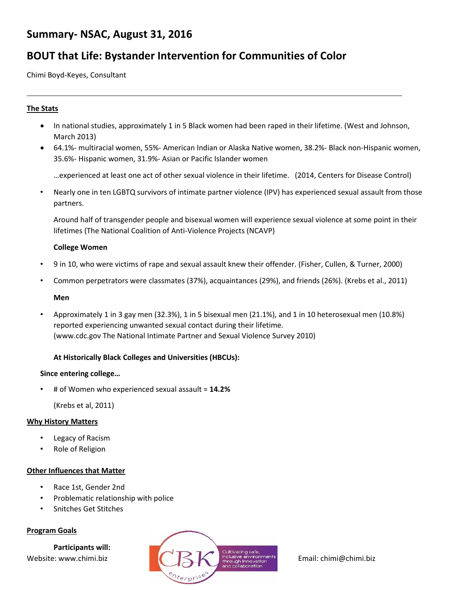# **Summary- NSAC, August 31, 2016**

# **BOUT that Life: Bystander Intervention for Communities of Color**

Chimi Boyd-Keyes, Consultant

### **The Stats**

- In national studies, approximately 1 in 5 Black women had been raped in their lifetime. (West and Johnson, March 2013)
- 64.1%- multiracial women, 55%- American Indian or Alaska Native women, 38.2%- Black non-Hispanic women, 35.6%- Hispanic women, 31.9%- Asian or Pacific Islander women

…experienced at least one act of other sexual violence in their lifetime. (2014, Centers for Disease Control)

• Nearly one in ten LGBTQ survivors of intimate partner violence (IPV) has experienced sexual assault from those partners.

Around half of transgender people and bisexual women will experience sexual violence at some point in their lifetimes (The National Coalition of Anti-Violence Projects (NCAVP)

#### **College Women**

- 9 in 10, who were victims of rape and sexual assault knew their offender. (Fisher, Cullen, & Turner, 2000)
- Common perpetrators were classmates (37%), acquaintances (29%), and friends (26%). (Krebs et al., 2011)

#### **Men**

• Approximately 1 in 3 gay men (32.3%), 1 in 5 bisexual men (21.1%), and 1 in 10 heterosexual men (10.8%) reported experiencing unwanted sexual contact during their lifetime. (www.cdc.gov The National Intimate Partner and Sexual Violence Survey 2010)

### **At Historically Black Colleges and Universities (HBCUs):**

#### **Since entering college…**

• # of Women who experienced sexual assault = **14.2%**

(Krebs et al, 2011)

#### **Why History Matters**

- Legacy of Racism
- Role of Religion

#### **Other Influences that Matter**

- Race 1st, Gender 2nd
- Problematic relationship with police
- Snitches Get Stitches

#### **Program Goals**

**Participants will:**